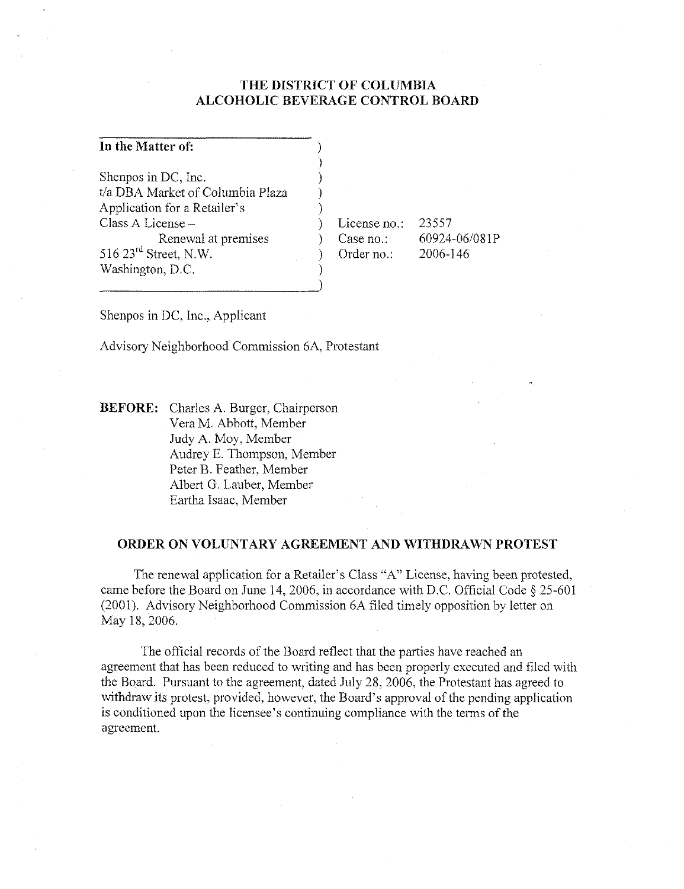## **THE DISTRICT OF COLUMBIA ALCOHOLIC BEVERAGE CONTROL BOARD**

) ) ) ) )

)

|  |  | In the Matter of: |  |  |
|--|--|-------------------|--|--|
|--|--|-------------------|--|--|

Shenpos in DC, Inc. t/a DBA Market of Columbia Plaza A pplication for a Retailer's Class A License - Renewal at premises 516 23rd Street, N.W. Washington, D.C.

License no.: ) Case no.: ) Order no.:

23557 60924-06/081P 2006-146

Shenpos in DC, Inc., Applicant

Advisory Neighborhood Commission 6A, Protestant

**BEFORE:** Charles A. Burger, Chairperson Vera M. Abbott, Member Judy A. Moy, Member Audrey E. Thompson, Member Peter B. Feather, Member Albert G. Lauber, Member Eartha Isaac, Member

#### **ORDER ON VOLUNTARY AGREEMENT AND WITHDRAWN PROTEST**

The renewal application for a Retailer's Class "A" License, having been protested, came before the Board on June 14,2006, in accordance with D.C. Official Code § 25-601 (2001). Advisory Neighborhood Commission 6A filed timely opposition by letter on May 18, 2006.

The official records of the Board reflect that the parties have reached an agreement that has been reduced to writing and has been properly executed and filed with the Board. Pursuant to the agreement, dated July 28, 2006, the Protestant has agreed to withdraw its protest, provided, however, the Board's approval of the pending application is conditioned upon the licensee's continuing compliance with the terms of the agreement.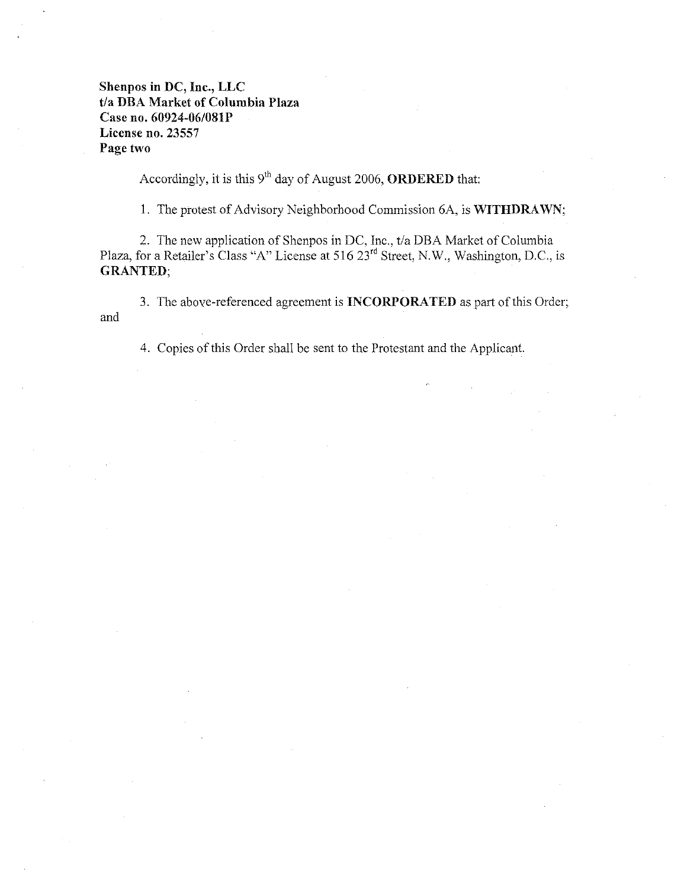# **Shenpos in DC, Inc., LLC t/a DBA Market of Columbia Plaza**  Case **no. 60924-06/081P License no. 23557 Page two**

Accordingly, it is this 9<sup>th</sup> day of August 2006, **ORDERED** that:

1. The protest of Advisory Neighborhood Commission 6A, is **WITHDRAWN;** 

2. The new application of Shenpos in DC, Inc., *t/a* DBA Market of Columbia Plaza, for a Retailer's Class "A" License at 516 23<sup>rd</sup> Street, N.W., Washington, D.C., is **GRANTED;** 

3. The above-referenced agreement is **INCORPORATED** as part of this Order; and

4. Copies of this Order shall be sent to the Protestant and the Applicant.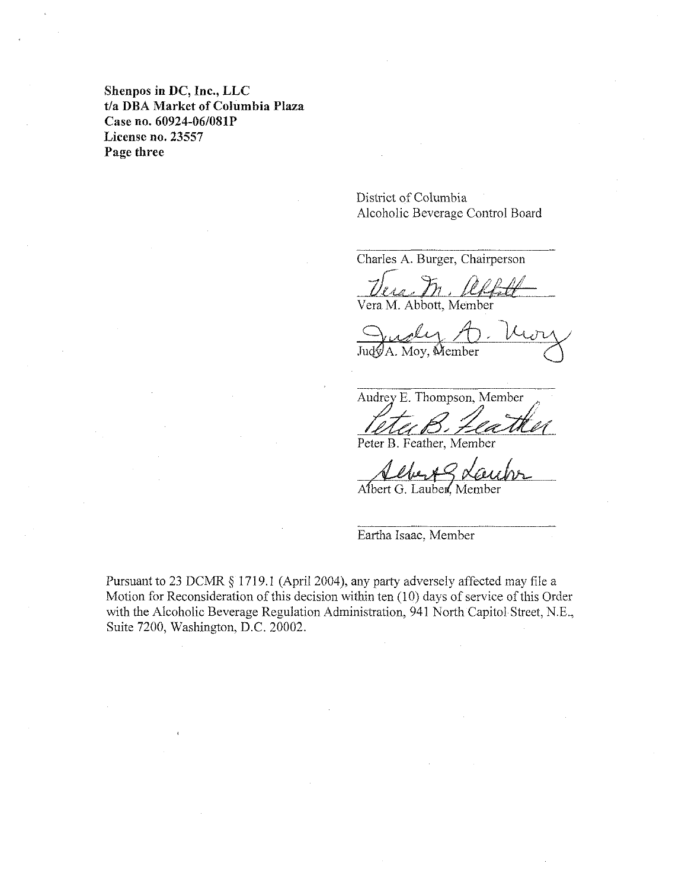**Shenpos in DC, Inc., LLC**  t/a DBA Market of Columbia Plaza Case no. 60924-06/081P **License no. 23557 Page three** 

> District of Columbia Alcoholic Beverage Control Board

Charles A. Burger, Chairperson

 $\frac{U_{\ell}^{2}}{U_{\ell}^{2}}$ Vera M. Abbott, Member

Jud $\mathcal A$ . Moy. Member

Audrey E. Thompson, Member

Peter B. Feather, Member

Albert G. Lauber, Member

Eartha Isaac. Member

Pursuant to 23 DCMR § 1719.1 (April 2004). any party adversely affected may file a Motion for Reconsideration of this decision within ten (10) days of service of this Order with the Alcoholic Beverage Regulation Administration. 941 North Capitol Street. N.E., Suite 7200, Washington, D.C. 20002.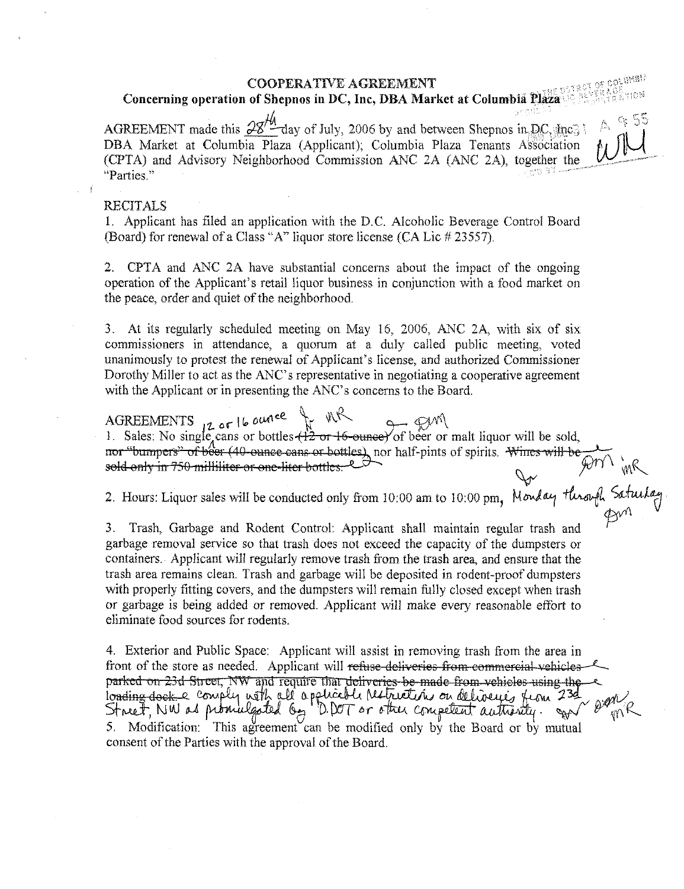#### **COOPERATIVE AGREEMENT**

## Concerning operation of Shepnos in DC, Inc, DBA Market at Columbia Plaza

of column!

AGREEMENT made this  $28^{10}$  day of July, 2006 by and between Shepnos in DC, Inc. DBA Market at Columbia Plaza (Applicant); Columbia Plaza Tenants Association (CPTA) and Advisory Neighborhood Commission ANC 2A (ANC 2A), together the "Parties."

#### **RECITALS**

1. Applicant has filed an application with the D.C. Alcoholic Beverage Control Board (Board) for renewal of a Class "A" liquor store license (CA Lic # 23557).

 $2.$ CPTA and ANC 2A have substantial concerns about the impact of the ongoing operation of the Applicant's retail liquor business in conjunction with a food market on the peace, order and quiet of the neighborhood.

3. At its regularly scheduled meeting on May 16, 2006, ANC 2A, with six of six commissioners in attendance, a quorum at a duly called public meeting, voted unanimously to protest the renewal of Applicant's license, and authorized Commissioner Dorothy Miller to act as the ANC's representative in negotiating a cooperative agreement with the Applicant or in presenting the ANC's concerns to the Board.

AGREEMENTS 12 or 16 ounce from the cans or bottles  $\left\{\frac{12}{12} \text{ or } 16\right\}$  and the sold, nor "bumpers" of beer (40-ounce cans or bottles) nor half-pints of spirits. Writes will be sold only in 750 milliliter or one-lit nor "bumpers" of beer (40-ounce cans or bottles) nor half-pints of spirits. While when we get the sold only in 750 milliliter or one-liter bottles.

3. Trash, Garbage and Rodent Control: Applicant shall maintain regular trash and garbage removal service so that trash does not exceed the capacity of the dumpsters or containers. Applicant will regularly remove trash from the trash area, and ensure that the trash area remains clean. Trash and garbage will be deposited in rodent-proof dumpsters with properly fitting covers, and the dumpsters will remain fully closed except when trash or garbage is being added or removed. Applicant will make every reasonable effort to eliminate food sources for rodents.

4. Exterior and Public Space: Applicant will assist in removing trash from the area in front of the store as needed. Applicant will refuse deliveries from commercial vehicles parked on 23d Street, NW and require that deliveries be made from vehicles using the agar loading dock a comply with all applies the Metrician on deliveries from 23d Street, NW as promulgated by D. DOT or other competent authority. S. consent of the Parties with the approval of the Board.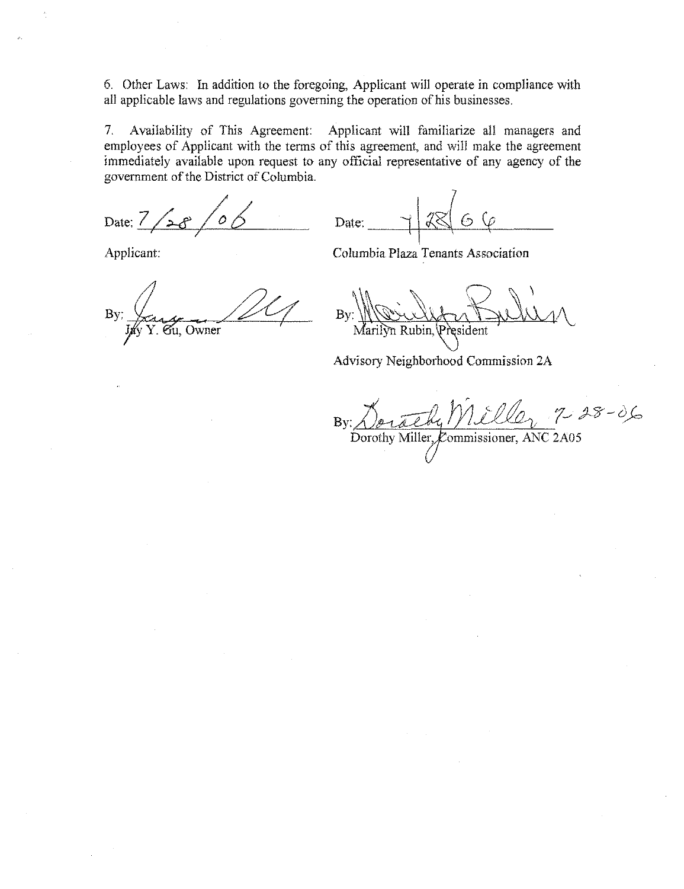6. Other Laws: In addition to the foregoing, Applicant will operate in compliance with all applicable laws and regulations governing the operation of his businesses.

Availability of This Agreement: Applicant will familiarize all managers and  $7<sub>1</sub>$ employees of Applicant with the terms of this agreement, and will make the agreement immediately available upon request to any official representative of any agency of the government of the District of Columbia.

Date:  $\frac{7}{ }$ 

Date: 6

Applicant:

Columbia Plaza Tenants Association

 $By:$ Gu, Owner

 $Bv$  $\overline{n}$  Rubin.  $\overline{P}$ esident

Advisory Neighborhood Commission 2A

By: Derach Miller 7 28-06